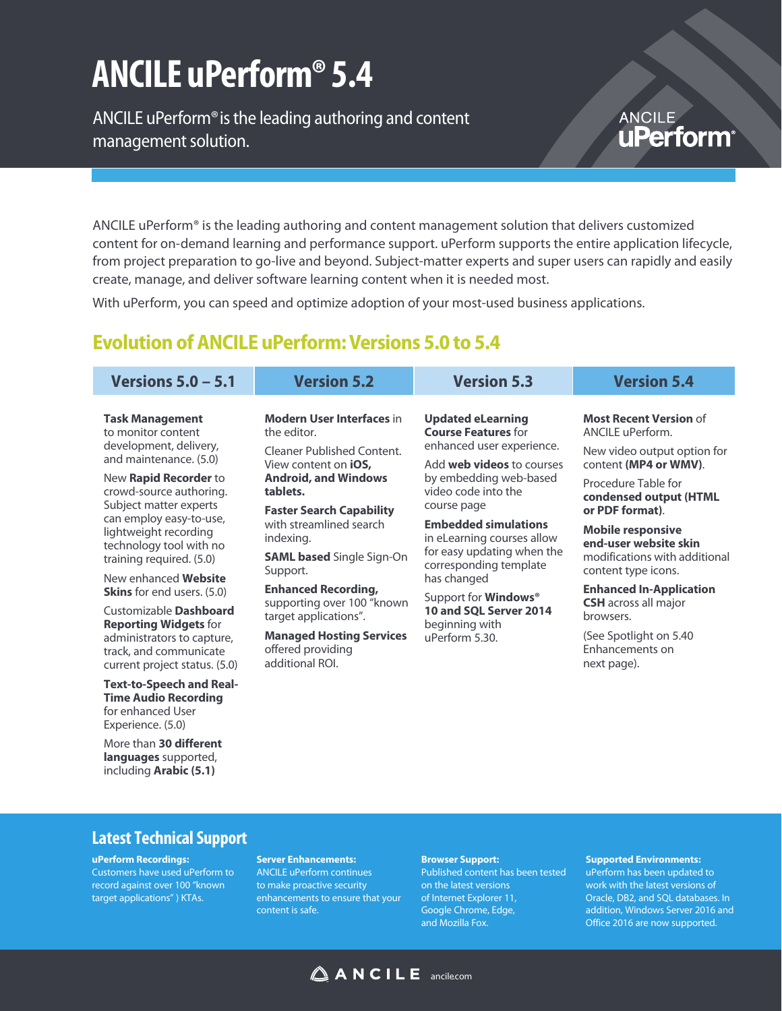# **ANCILE uPerform® 5.4**

ANCILE uPerform® is the leading authoring and content management solution.

### **ANCILE uPerform**

ANCILE uPerform® is the leading authoring and content management solution that delivers customized content for on-demand learning and performance support. uPerform supports the entire application lifecycle, from project preparation to go-live and beyond. Subject-matter experts and super users can rapidly and easily create, manage, and deliver software learning content when it is needed most.

With uPerform, you can speed and optimize adoption of your most-used business applications.

### **Evolution of ANCILE uPerform: Versions 5.0 to 5.4**

| Versions $5.0 - 5.1$                                                                                                                                      | <b>Version 5.2</b>                                                                                                                                                                                                                                                                                                                                                                                                                                                                                                                                            | <b>Version 5.3</b>                                                                                        | <b>Version 5.4</b>                                                                                    |
|-----------------------------------------------------------------------------------------------------------------------------------------------------------|---------------------------------------------------------------------------------------------------------------------------------------------------------------------------------------------------------------------------------------------------------------------------------------------------------------------------------------------------------------------------------------------------------------------------------------------------------------------------------------------------------------------------------------------------------------|-----------------------------------------------------------------------------------------------------------|-------------------------------------------------------------------------------------------------------|
| <b>Task Management</b><br>to monitor content<br>development, delivery,<br>and maintenance. (5.0)                                                          | <b>Modern User Interfaces in</b><br><b>Updated eLearning</b><br><b>Course Features for</b><br>the editor.<br>enhanced user experience.<br>Cleaner Published Content.<br>Add <b>web videos</b> to courses<br>View content on <b>iOS</b> ,<br><b>Android, and Windows</b><br>by embedding web-based<br>video code into the<br>tablets.<br>course page<br><b>Faster Search Capability</b><br>with streamlined search<br><b>Embedded simulations</b><br>in eLearning courses allow<br>indexing.<br>for easy updating when the<br><b>SAML based Single Sign-On</b> | <b>Most Recent Version of</b><br>ANCILE uPerform.<br>New video output option for<br>content (MP4 or WMV). |                                                                                                       |
| New Rapid Recorder to<br>crowd-source authoring.<br>Subject matter experts<br>can employ easy-to-use,<br>lightweight recording<br>technology tool with no |                                                                                                                                                                                                                                                                                                                                                                                                                                                                                                                                                               |                                                                                                           | Procedure Table for<br>condensed output (HTML                                                         |
|                                                                                                                                                           |                                                                                                                                                                                                                                                                                                                                                                                                                                                                                                                                                               | corresponding template<br>has changed                                                                     | or PDF format).<br><b>Mobile responsive</b><br>end-user website skin<br>modifications with additional |
| training required. (5.0)<br>New enhanced Website<br><b>Skins</b> for end users. (5.0)                                                                     | Support.<br><b>Enhanced Recording,</b>                                                                                                                                                                                                                                                                                                                                                                                                                                                                                                                        |                                                                                                           | content type icons.<br><b>Enhanced In-Application</b><br><b>CSH</b> across all major<br>browsers.     |
| Customizable Dashboard<br><b>Reporting Widgets for</b><br>administrators to capture,<br>track, and communicate<br>current project status. (5.0)           | supporting over 100 "known<br>target applications".                                                                                                                                                                                                                                                                                                                                                                                                                                                                                                           | Support for <b>Windows</b> <sup>®</sup><br>10 and SQL Server 2014<br>beginning with<br>uPerform 5.30.     |                                                                                                       |
|                                                                                                                                                           | <b>Managed Hosting Services</b><br>offered providing<br>additional ROI.                                                                                                                                                                                                                                                                                                                                                                                                                                                                                       |                                                                                                           | (See Spotlight on 5.40)<br>Enhancements on<br>next page).                                             |
| <b>Text-to-Speech and Real-</b><br><b>Time Audio Recording</b><br>for enhanced User                                                                       |                                                                                                                                                                                                                                                                                                                                                                                                                                                                                                                                                               |                                                                                                           |                                                                                                       |

## **Latest Technical Support**

Experience. (5.0)

More than **30 different languages** supported, including **Arabic (5.1)**

**uPerform Recordings:**  Customers have used uPerform to record against over 100 "known target applications" ) KTAs.

#### **Server Enhancements:**

ANCILE uPerform continues to make proactive security enhancements to ensure that your content is safe.

#### **Browser Support:**

Published content has been tested on the latest versions of Internet Explorer 11, Google Chrome, Edge, and Mozilla Fox.

#### **Supported Environments:**

uPerform has been updated to work with the latest versions of Oracle, DB2, and SQL databases. In addition, Windows Server 2016 and Office 2016 are now supported.

### $\triangle$  ANCILE ancilecom